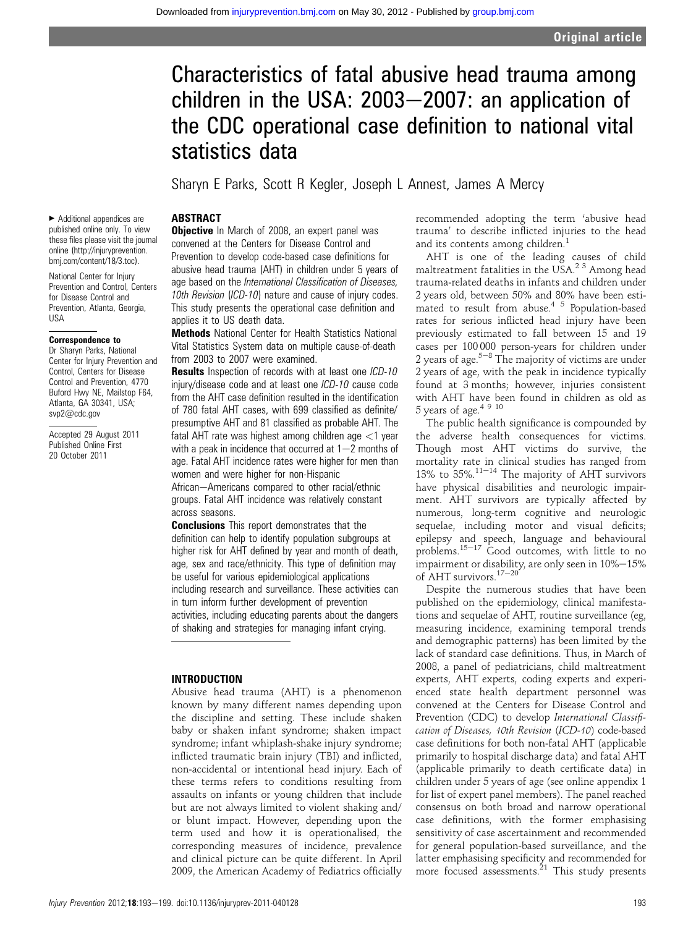# Characteristics of fatal abusive head trauma among children in the USA:  $2003-2007$ : an application of the CDC operational case definition to national vital statistics data

Sharyn E Parks, Scott R Kegler, Joseph L Annest, James A Mercy

#### ABSTRACT

▶ Additional appendices are published online only. To view these files please visit the journal online (http://injuryprevention. bmj.com/content/18/3.toc).

National Center for Injury Prevention and Control, Centers for Disease Control and Prevention, Atlanta, Georgia, USA

#### Correspondence to

Dr Sharyn Parks, National Center for Injury Prevention and Control, Centers for Disease Control and Prevention, 4770 Buford Hwy NE, Mailstop F64, Atlanta, GA 30341, USA; svp2@cdc.gov

Accepted 29 August 2011 Published Online First 20 October 2011

**Objective** In March of 2008, an expert panel was convened at the Centers for Disease Control and Prevention to develop code-based case definitions for abusive head trauma (AHT) in children under 5 years of age based on the International Classification of Diseases, 10th Revision (ICD-10) nature and cause of injury codes. This study presents the operational case definition and applies it to US death data.

Methods National Center for Health Statistics National Vital Statistics System data on multiple cause-of-death from 2003 to 2007 were examined.

Results Inspection of records with at least one ICD-10 injury/disease code and at least one ICD-10 cause code from the AHT case definition resulted in the identification of 780 fatal AHT cases, with 699 classified as definite/ presumptive AHT and 81 classified as probable AHT. The fatal AHT rate was highest among children age  $<$ 1 year with a peak in incidence that occurred at  $1-2$  months of age. Fatal AHT incidence rates were higher for men than women and were higher for non-Hispanic

African-Americans compared to other racial/ethnic groups. Fatal AHT incidence was relatively constant across seasons.

**Conclusions** This report demonstrates that the definition can help to identify population subgroups at higher risk for AHT defined by year and month of death, age, sex and race/ethnicity. This type of definition may be useful for various epidemiological applications including research and surveillance. These activities can in turn inform further development of prevention activities, including educating parents about the dangers of shaking and strategies for managing infant crying.

#### INTRODUCTION

Abusive head trauma (AHT) is a phenomenon known by many different names depending upon the discipline and setting. These include shaken baby or shaken infant syndrome; shaken impact syndrome; infant whiplash-shake injury syndrome; inflicted traumatic brain injury (TBI) and inflicted, non-accidental or intentional head injury. Each of these terms refers to conditions resulting from assaults on infants or young children that include but are not always limited to violent shaking and/ or blunt impact. However, depending upon the term used and how it is operationalised, the corresponding measures of incidence, prevalence and clinical picture can be quite different. In April 2009, the American Academy of Pediatrics officially

recommended adopting the term 'abusive head trauma' to describe inflicted injuries to the head and its contents among children.<sup>1</sup>

AHT is one of the leading causes of child maltreatment fatalities in the USA.<sup>2 3</sup> Among head trauma-related deaths in infants and children under 2 years old, between 50% and 80% have been estimated to result from abuse.4 5 Population-based rates for serious inflicted head injury have been previously estimated to fall between 15 and 19 cases per 100 000 person-years for children under 2 years of age. $5-8$  The majority of victims are under 2 years of age, with the peak in incidence typically found at 3 months; however, injuries consistent with AHT have been found in children as old as 5 years of age.<sup>4 9 10</sup>

The public health significance is compounded by the adverse health consequences for victims. Though most AHT victims do survive, the mortality rate in clinical studies has ranged from 13% to  $35\%$ .<sup>11-14</sup> The majority of AHT survivors have physical disabilities and neurologic impairment. AHT survivors are typically affected by numerous, long-term cognitive and neurologic sequelae, including motor and visual deficits; epilepsy and speech, language and behavioural problems. $15-17$  Good outcomes, with little to no impairment or disability, are only seen in  $10\% - 15\%$ of AHT survivors. $17-20$ 

Despite the numerous studies that have been published on the epidemiology, clinical manifestations and sequelae of AHT, routine surveillance (eg, measuring incidence, examining temporal trends and demographic patterns) has been limited by the lack of standard case definitions. Thus, in March of 2008, a panel of pediatricians, child maltreatment experts, AHT experts, coding experts and experienced state health department personnel was convened at the Centers for Disease Control and Prevention (CDC) to develop International Classification of Diseases, 10th Revision (ICD-10) code-based case definitions for both non-fatal AHT (applicable primarily to hospital discharge data) and fatal AHT (applicable primarily to death certificate data) in children under 5 years of age (see online appendix 1 for list of expert panel members). The panel reached consensus on both broad and narrow operational case definitions, with the former emphasising sensitivity of case ascertainment and recommended for general population-based surveillance, and the latter emphasising specificity and recommended for more focused assessments.<sup>21</sup> This study presents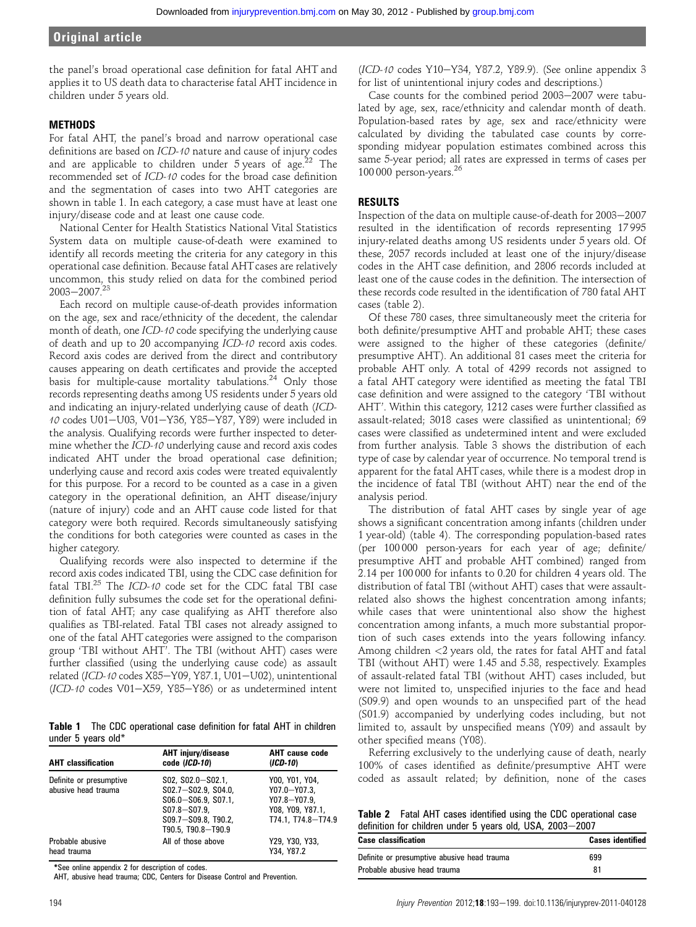the panel's broad operational case definition for fatal AHT and applies it to US death data to characterise fatal AHT incidence in children under 5 years old.

#### **METHODS**

For fatal AHT, the panel's broad and narrow operational case definitions are based on ICD-10 nature and cause of injury codes and are applicable to children under  $5 \text{ years}$  of age.<sup>22</sup> The recommended set of ICD-10 codes for the broad case definition and the segmentation of cases into two AHT categories are shown in table 1. In each category, a case must have at least one injury/disease code and at least one cause code.

National Center for Health Statistics National Vital Statistics System data on multiple cause-of-death were examined to identify all records meeting the criteria for any category in this operational case definition. Because fatal AHTcases are relatively uncommon, this study relied on data for the combined period  $2003 - 2007.<sup>23</sup>$ 

Each record on multiple cause-of-death provides information on the age, sex and race/ethnicity of the decedent, the calendar month of death, one ICD-10 code specifying the underlying cause of death and up to 20 accompanying ICD-10 record axis codes. Record axis codes are derived from the direct and contributory causes appearing on death certificates and provide the accepted basis for multiple-cause mortality tabulations.<sup>24</sup> Only those records representing deaths among US residents under 5 years old and indicating an injury-related underlying cause of death (ICD-10 codes U01-U03, V01-Y36, Y85-Y87, Y89) were included in the analysis. Qualifying records were further inspected to determine whether the ICD-10 underlying cause and record axis codes indicated AHT under the broad operational case definition; underlying cause and record axis codes were treated equivalently for this purpose. For a record to be counted as a case in a given category in the operational definition, an AHT disease/injury (nature of injury) code and an AHT cause code listed for that category were both required. Records simultaneously satisfying the conditions for both categories were counted as cases in the higher category.

Qualifying records were also inspected to determine if the record axis codes indicated TBI, using the CDC case definition for fatal TBI.25 The ICD-10 code set for the CDC fatal TBI case definition fully subsumes the code set for the operational definition of fatal AHT; any case qualifying as AHT therefore also qualifies as TBI-related. Fatal TBI cases not already assigned to one of the fatal AHT categories were assigned to the comparison group 'TBI without AHT'. The TBI (without AHT) cases were further classified (using the underlying cause code) as assault related (ICD-10 codes X85-Y09, Y87.1, U01-U02), unintentional  $(ICD-10$  codes V01-X59, Y85-Y86) or as undetermined intent

Table 1 The CDC operational case definition for fatal AHT in children under 5 years old\*

| <b>AHT</b> classification                      | <b>AHT</b> injury/disease<br>code (ICD-10)                                                                                           | <b>AHT</b> cause code<br>$(ICD-10)$                                                             |
|------------------------------------------------|--------------------------------------------------------------------------------------------------------------------------------------|-------------------------------------------------------------------------------------------------|
| Definite or presumptive<br>abusive head trauma | S02, S02.0-S02.1,<br>$SO2.7 - SO2.9. SO4.0.$<br>S06.0-S06.9, S07.1,<br>$S07.8 - S07.9.$<br>S09.7-S09.8, T90.2,<br>T90.5, T90.8-T90.9 | Y00, Y01, Y04,<br>$Y07.0 - Y07.3.$<br>$Y07.8 - Y07.9$<br>Y08, Y09, Y87.1,<br>T74.1, T74.8-T74.9 |
| Probable abusive<br>head trauma                | All of those above                                                                                                                   | Y29, Y30, Y33,<br>Y34, Y87.2                                                                    |

\*See online appendix 2 for description of codes.

AHT, abusive head trauma; CDC, Centers for Disease Control and Prevention.

(ICD-10 codes Y10-Y34, Y87.2, Y89.9). (See online appendix 3 for list of unintentional injury codes and descriptions.)

Case counts for the combined period  $2003-2007$  were tabulated by age, sex, race/ethnicity and calendar month of death. Population-based rates by age, sex and race/ethnicity were calculated by dividing the tabulated case counts by corresponding midyear population estimates combined across this same 5-year period; all rates are expressed in terms of cases per  $100\,000$  person-years.  $^{26}$ 

#### RESULTS

Inspection of the data on multiple cause-of-death for 2003-2007 resulted in the identification of records representing 17 995 injury-related deaths among US residents under 5 years old. Of these, 2057 records included at least one of the injury/disease codes in the AHT case definition, and 2806 records included at least one of the cause codes in the definition. The intersection of these records code resulted in the identification of 780 fatal AHT cases (table 2).

Of these 780 cases, three simultaneously meet the criteria for both definite/presumptive AHT and probable AHT; these cases were assigned to the higher of these categories (definite/ presumptive AHT). An additional 81 cases meet the criteria for probable AHT only. A total of 4299 records not assigned to a fatal AHT category were identified as meeting the fatal TBI case definition and were assigned to the category 'TBI without AHT'. Within this category, 1212 cases were further classified as assault-related; 3018 cases were classified as unintentional; 69 cases were classified as undetermined intent and were excluded from further analysis. Table 3 shows the distribution of each type of case by calendar year of occurrence. No temporal trend is apparent for the fatal AHT cases, while there is a modest drop in the incidence of fatal TBI (without AHT) near the end of the analysis period.

The distribution of fatal AHT cases by single year of age shows a significant concentration among infants (children under 1 year-old) (table 4). The corresponding population-based rates (per 100 000 person-years for each year of age; definite/ presumptive AHT and probable AHT combined) ranged from 2.14 per 100 000 for infants to 0.20 for children 4 years old. The distribution of fatal TBI (without AHT) cases that were assaultrelated also shows the highest concentration among infants; while cases that were unintentional also show the highest concentration among infants, a much more substantial proportion of such cases extends into the years following infancy. Among children <2 years old, the rates for fatal AHT and fatal TBI (without AHT) were 1.45 and 5.38, respectively. Examples of assault-related fatal TBI (without AHT) cases included, but were not limited to, unspecified injuries to the face and head (S09.9) and open wounds to an unspecified part of the head (S01.9) accompanied by underlying codes including, but not limited to, assault by unspecified means (Y09) and assault by other specified means (Y08).

Referring exclusively to the underlying cause of death, nearly 100% of cases identified as definite/presumptive AHT were coded as assault related; by definition, none of the cases

Table 2 Fatal AHT cases identified using the CDC operational case definition for children under 5 years old, USA, 2003-2007

| <b>Case classification</b>                  | <b>Cases identified</b> |
|---------------------------------------------|-------------------------|
| Definite or presumptive abusive head trauma | 699                     |
| Probable abusive head trauma                | 81                      |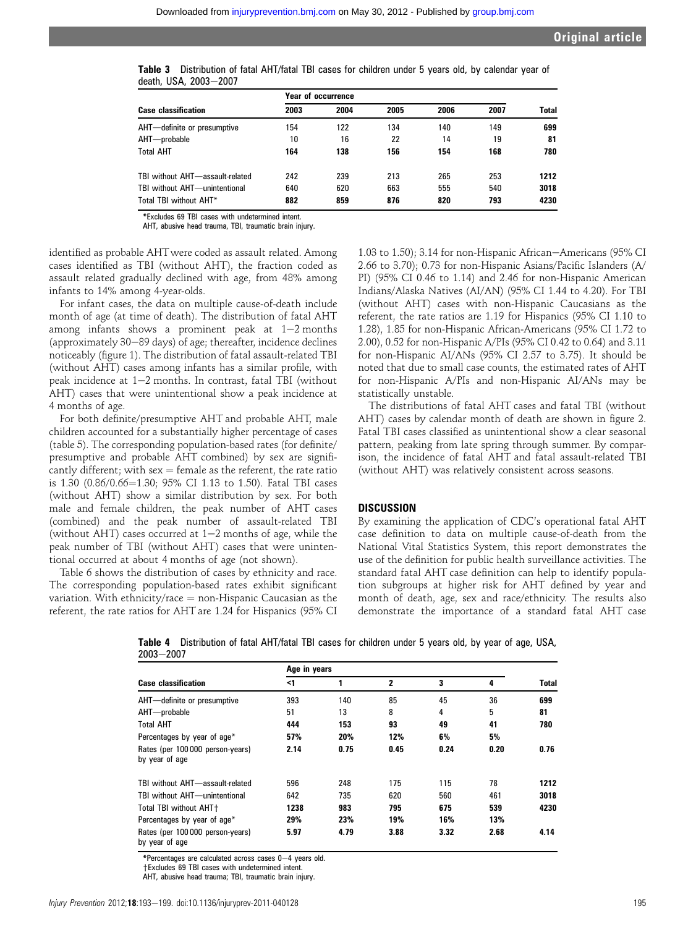|                                 | Year of occurrence |      |      |      |      |       |  |  |  |
|---------------------------------|--------------------|------|------|------|------|-------|--|--|--|
| <b>Case classification</b>      | 2003               | 2004 | 2005 | 2006 | 2007 | Total |  |  |  |
| AHT-definite or presumptive     | 154                | 122  | 134  | 140  | 149  | 699   |  |  |  |
| AHT-probable                    | 10                 | 16   | 22   | 14   | 19   | 81    |  |  |  |
| <b>Total AHT</b>                | 164                | 138  | 156  | 154  | 168  | 780   |  |  |  |
| TBI without AHT-assault-related | 242                | 239  | 213  | 265  | 253  | 1212  |  |  |  |
| TBI without AHT-unintentional   | 640                | 620  | 663  | 555  | 540  | 3018  |  |  |  |
| Total TBI without AHT*          | 882                | 859  | 876  | 820  | 793  | 4230  |  |  |  |

|  | Table 3 Distribution of fatal AHT/fatal TBI cases for children under 5 years old, by calendar year of |  |  |  |  |  |  |  |
|--|-------------------------------------------------------------------------------------------------------|--|--|--|--|--|--|--|
|  | death, USA, 2003—2007                                                                                 |  |  |  |  |  |  |  |

\*Excludes 69 TBI cases with undetermined intent.

AHT, abusive head trauma, TBI, traumatic brain injury.

identified as probable AHT were coded as assault related. Among cases identified as TBI (without AHT), the fraction coded as assault related gradually declined with age, from 48% among infants to 14% among 4-year-olds.

For infant cases, the data on multiple cause-of-death include month of age (at time of death). The distribution of fatal AHT among infants shows a prominent peak at  $1-2$  months (approximately  $30-89$  days) of age; thereafter, incidence declines noticeably (figure 1). The distribution of fatal assault-related TBI (without AHT) cases among infants has a similar profile, with peak incidence at  $1-2$  months. In contrast, fatal TBI (without AHT) cases that were unintentional show a peak incidence at 4 months of age.

For both definite/presumptive AHT and probable AHT, male children accounted for a substantially higher percentage of cases (table 5). The corresponding population-based rates (for definite/ presumptive and probable AHT combined) by sex are significantly different; with  $sex = female$  as the referent, the rate ratio is 1.30 (0.86/0.66=1.30; 95% CI 1.13 to 1.50). Fatal TBI cases (without AHT) show a similar distribution by sex. For both male and female children, the peak number of AHT cases (combined) and the peak number of assault-related TBI (without AHT) cases occurred at  $1-2$  months of age, while the peak number of TBI (without AHT) cases that were unintentional occurred at about 4 months of age (not shown).

Table 6 shows the distribution of cases by ethnicity and race. The corresponding population-based rates exhibit significant variation. With ethnicity/race  $=$  non-Hispanic Caucasian as the referent, the rate ratios for AHT are 1.24 for Hispanics (95% CI

1.03 to 1.50); 3.14 for non-Hispanic African–Americans (95% CI 2.66 to 3.70); 0.73 for non-Hispanic Asians/Pacific Islanders (A/ PI) (95% CI 0.46 to 1.14) and 2.46 for non-Hispanic American Indians/Alaska Natives (AI/AN) (95% CI 1.44 to 4.20). For TBI (without AHT) cases with non-Hispanic Caucasians as the referent, the rate ratios are 1.19 for Hispanics (95% CI 1.10 to 1.28), 1.85 for non-Hispanic African-Americans (95% CI 1.72 to 2.00), 0.52 for non-Hispanic A/PIs (95% CI 0.42 to 0.64) and 3.11 for non-Hispanic AI/ANs (95% CI 2.57 to 3.75). It should be noted that due to small case counts, the estimated rates of AHT for non-Hispanic A/PIs and non-Hispanic AI/ANs may be statistically unstable.

The distributions of fatal AHT cases and fatal TBI (without AHT) cases by calendar month of death are shown in figure 2. Fatal TBI cases classified as unintentional show a clear seasonal pattern, peaking from late spring through summer. By comparison, the incidence of fatal AHT and fatal assault-related TBI (without AHT) was relatively consistent across seasons.

# **DISCUSSION**

By examining the application of CDC's operational fatal AHT case definition to data on multiple cause-of-death from the National Vital Statistics System, this report demonstrates the use of the definition for public health surveillance activities. The standard fatal AHT case definition can help to identify population subgroups at higher risk for AHT defined by year and month of death, age, sex and race/ethnicity. The results also demonstrate the importance of a standard fatal AHT case

Table 4 Distribution of fatal AHT/fatal TBI cases for children under 5 years old, by year of age, USA,  $2003 - 2007$ 

|                                                    | Age in years |      |              |      |      |       |  |  |
|----------------------------------------------------|--------------|------|--------------|------|------|-------|--|--|
| <b>Case classification</b>                         | <1           |      | $\mathbf{2}$ | 3    | 4    | Total |  |  |
| AHT-definite or presumptive                        | 393          | 140  | 85           | 45   | 36   | 699   |  |  |
| AHT-probable                                       | 51           | 13   | 8            | 4    | 5    | 81    |  |  |
| <b>Total AHT</b>                                   | 444          | 153  | 93           | 49   | 41   | 780   |  |  |
| Percentages by year of age*                        | 57%          | 20%  | 12%          | 6%   | 5%   |       |  |  |
| Rates (per 100 000 person-years)<br>by year of age | 2.14         | 0.75 | 0.45         | 0.24 | 0.20 | 0.76  |  |  |
| TBI without AHT-assault-related                    | 596          | 248  | 175          | 115  | 78   | 1212  |  |  |
| TBI without AHT-unintentional                      | 642          | 735  | 620          | 560  | 461  | 3018  |  |  |
| Total TBI without AHT+                             | 1238         | 983  | 795          | 675  | 539  | 4230  |  |  |
| Percentages by year of age*                        | 29%          | 23%  | 19%          | 16%  | 13%  |       |  |  |
| Rates (per 100 000 person-years)<br>by year of age | 5.97         | 4.79 | 3.88         | 3.32 | 2.68 | 4.14  |  |  |

\*Percentages are calculated across cases 0-4 years old.

**†Excludes 69 TBI cases with undetermined intent.** 

AHT, abusive head trauma; TBI, traumatic brain injury.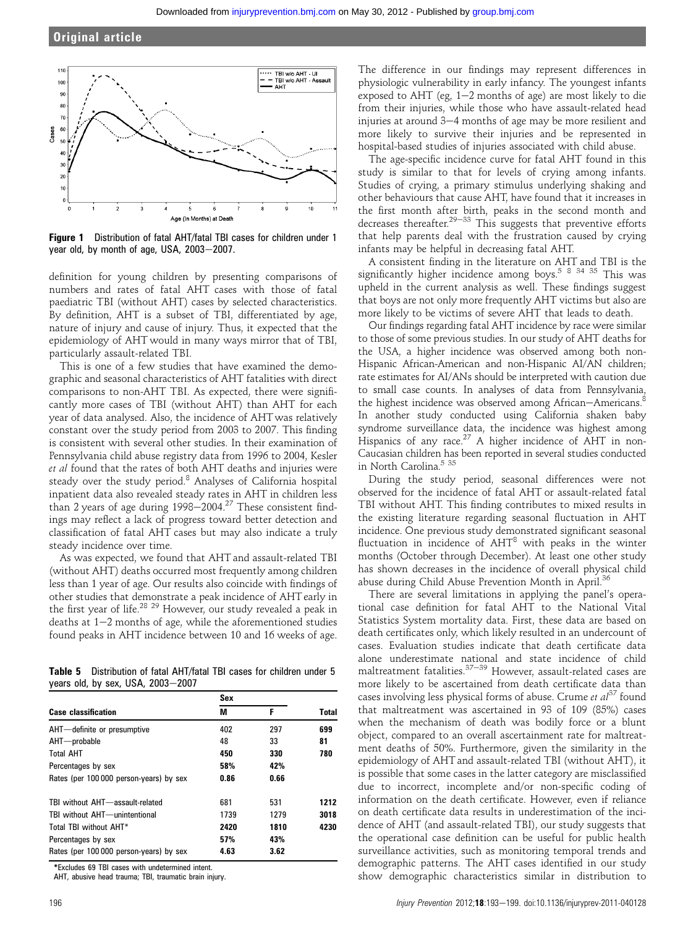

Figure 1 Distribution of fatal AHT/fatal TBI cases for children under 1 year old, by month of age, USA,  $2003-2007$ .

definition for young children by presenting comparisons of numbers and rates of fatal AHT cases with those of fatal paediatric TBI (without AHT) cases by selected characteristics. By definition, AHT is a subset of TBI, differentiated by age, nature of injury and cause of injury. Thus, it expected that the epidemiology of AHT would in many ways mirror that of TBI, particularly assault-related TBI.

This is one of a few studies that have examined the demographic and seasonal characteristics of AHT fatalities with direct comparisons to non-AHT TBI. As expected, there were significantly more cases of TBI (without AHT) than AHT for each year of data analysed. Also, the incidence of AHT was relatively constant over the study period from 2003 to 2007. This finding is consistent with several other studies. In their examination of Pennsylvania child abuse registry data from 1996 to 2004, Kesler et al found that the rates of both AHT deaths and injuries were steady over the study period.<sup>8</sup> Analyses of California hospital inpatient data also revealed steady rates in AHT in children less than 2 years of age during  $1998-2004.<sup>27</sup>$  These consistent findings may reflect a lack of progress toward better detection and classification of fatal AHT cases but may also indicate a truly steady incidence over time.

As was expected, we found that AHT and assault-related TBI (without AHT) deaths occurred most frequently among children less than 1 year of age. Our results also coincide with findings of other studies that demonstrate a peak incidence of AHT early in the first year of life.<sup>28</sup> <sup>29</sup> However, our study revealed a peak in deaths at  $1-2$  months of age, while the aforementioned studies found peaks in AHT incidence between 10 and 16 weeks of age.

Table 5 Distribution of fatal AHT/fatal TBI cases for children under 5 years old, by sex, USA,  $2003-2007$ 

|                                         | Sex  |      |              |  |
|-----------------------------------------|------|------|--------------|--|
| <b>Case classification</b>              | M    | F    | <b>Total</b> |  |
| AHT-definite or presumptive             | 402  | 297  | 699          |  |
| AHT-probable                            | 48   | 33   | 81           |  |
| <b>Total AHT</b>                        | 450  | 330  | 780          |  |
| Percentages by sex                      | 58%  | 42%  |              |  |
| Rates (per 100 000 person-years) by sex | 0.86 | 0.66 |              |  |
| TBI without AHT-assault-related         | 681  | 531  | 1212         |  |
| TBI without AHT-unintentional           | 1739 | 1279 | 3018         |  |
| Total TBI without AHT*                  | 2420 | 1810 | 4230         |  |
| Percentages by sex                      | 57%  | 43%  |              |  |
| Rates (per 100 000 person-years) by sex | 4.63 | 3.62 |              |  |

\*Excludes 69 TBI cases with undetermined intent.

AHT, abusive head trauma; TBI, traumatic brain injury.

The difference in our findings may represent differences in physiologic vulnerability in early infancy. The youngest infants exposed to AHT (eg,  $1-2$  months of age) are most likely to die from their injuries, while those who have assault-related head injuries at around 3-4 months of age may be more resilient and more likely to survive their injuries and be represented in hospital-based studies of injuries associated with child abuse.

The age-specific incidence curve for fatal AHT found in this study is similar to that for levels of crying among infants. Studies of crying, a primary stimulus underlying shaking and other behaviours that cause AHT, have found that it increases in the first month after birth, peaks in the second month and decreases thereafter.<sup>29–33</sup> This suggests that preventive efforts that help parents deal with the frustration caused by crying infants may be helpful in decreasing fatal AHT.

A consistent finding in the literature on AHT and TBI is the significantly higher incidence among boys.<sup>5 8 34 35</sup> This was upheld in the current analysis as well. These findings suggest that boys are not only more frequently AHT victims but also are more likely to be victims of severe AHT that leads to death.

Our findings regarding fatal AHT incidence by race were similar to those of some previous studies. In our study of AHT deaths for the USA, a higher incidence was observed among both non-Hispanic African-American and non-Hispanic AI/AN children; rate estimates for AI/ANs should be interpreted with caution due to small case counts. In analyses of data from Pennsylvania, the highest incidence was observed among African-Americans.<sup>8</sup> In another study conducted using California shaken baby syndrome surveillance data, the incidence was highest among Hispanics of any race.<sup>27</sup> A higher incidence of AHT in non-Caucasian children has been reported in several studies conducted in North Carolina. $^{\rm 5}$   $^{\rm 35}$ 

During the study period, seasonal differences were not observed for the incidence of fatal AHT or assault-related fatal TBI without AHT. This finding contributes to mixed results in the existing literature regarding seasonal fluctuation in AHT incidence. One previous study demonstrated significant seasonal fluctuation in incidence of AHT<sup>8</sup> with peaks in the winter months (October through December). At least one other study has shown decreases in the incidence of overall physical child abuse during Child Abuse Prevention Month in April.<sup>36</sup>

There are several limitations in applying the panel's operational case definition for fatal AHT to the National Vital Statistics System mortality data. First, these data are based on death certificates only, which likely resulted in an undercount of cases. Evaluation studies indicate that death certificate data alone underestimate national and state incidence of child maltreatment fatalities. $37-39$  However, assault-related cases are more likely to be ascertained from death certificate data than cases involving less physical forms of abuse. Crume et  $al^{37}$  found that maltreatment was ascertained in 93 of 109 (85%) cases when the mechanism of death was bodily force or a blunt object, compared to an overall ascertainment rate for maltreatment deaths of 50%. Furthermore, given the similarity in the epidemiology of AHT and assault-related TBI (without AHT), it is possible that some cases in the latter category are misclassified due to incorrect, incomplete and/or non-specific coding of information on the death certificate. However, even if reliance on death certificate data results in underestimation of the incidence of AHT (and assault-related TBI), our study suggests that the operational case definition can be useful for public health surveillance activities, such as monitoring temporal trends and demographic patterns. The AHT cases identified in our study show demographic characteristics similar in distribution to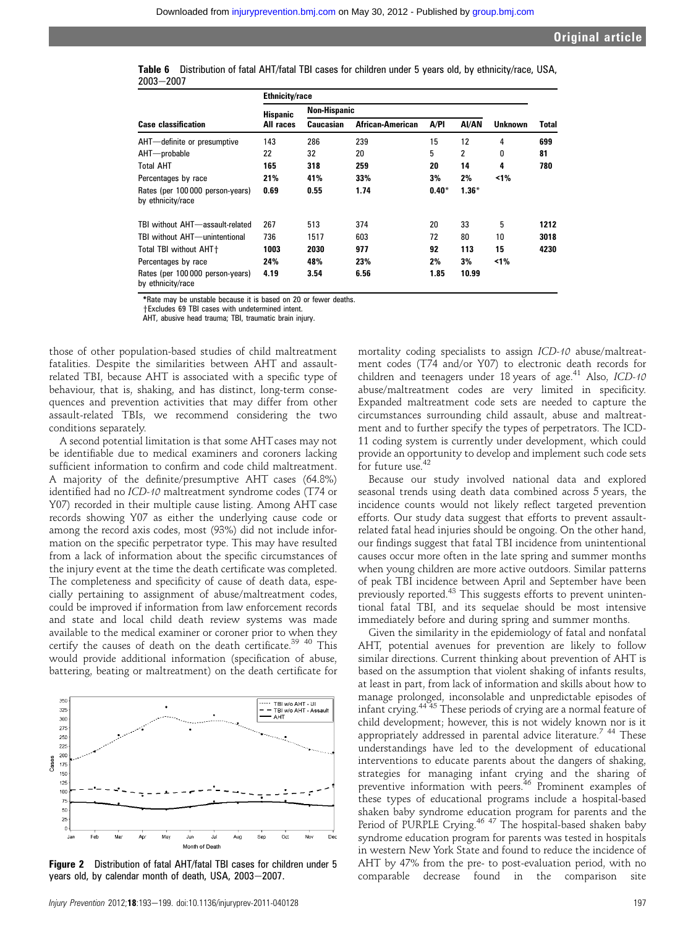|           | Table 6 Distribution of fatal AHT/fatal TBI cases for children under 5 years old, by ethnicity/race, USA, |  |  |  |
|-----------|-----------------------------------------------------------------------------------------------------------|--|--|--|
| 2003-2007 |                                                                                                           |  |  |  |

|                                                       | <b>Ethnicity/race</b> |                     |                         |         |         |                |              |  |  |
|-------------------------------------------------------|-----------------------|---------------------|-------------------------|---------|---------|----------------|--------------|--|--|
|                                                       | <b>Hispanic</b>       | <b>Non-Hispanic</b> |                         |         |         |                |              |  |  |
| <b>Case classification</b>                            | All races             | Caucasian           | <b>African-American</b> | A/PI    | AI/AN   | <b>Unknown</b> | <b>Total</b> |  |  |
| AHT-definite or presumptive                           | 143                   | 286                 | 239                     | 15      | 12      | 4              | 699          |  |  |
| AHT—probable                                          | 22                    | 32                  | 20                      | 5       | 2       | 0              | 81           |  |  |
| <b>Total AHT</b>                                      | 165                   | 318                 | 259                     | 20      | 14      | 4              | 780          |  |  |
| Percentages by race                                   | 21%                   | 41%                 | 33%                     | 3%      | 2%      | ≺1%            |              |  |  |
| Rates (per 100 000 person-years)<br>by ethnicity/race | 0.69                  | 0.55                | 1.74                    | $0.40*$ | $1.36*$ |                |              |  |  |
| TBI without AHT-assault-related                       | 267                   | 513                 | 374                     | 20      | 33      | 5              | 1212         |  |  |
| TBI without AHT-unintentional                         | 736                   | 1517                | 603                     | 72      | 80      | 10             | 3018         |  |  |
| Total TBI without AHT+                                | 1003                  | 2030                | 977                     | 92      | 113     | 15             | 4230         |  |  |
| Percentages by race                                   | 24%                   | 48%                 | 23%                     | 2%      | 3%      | 1%             |              |  |  |
| Rates (per 100 000 person-years)<br>by ethnicity/race | 4.19                  | 3.54                | 6.56                    | 1.85    | 10.99   |                |              |  |  |

\*Rate may be unstable because it is based on 20 or fewer deaths.

 $+$ Excludes 69 TBI cases with undetermined intent

AHT, abusive head trauma; TBI, traumatic brain injury.

those of other population-based studies of child maltreatment fatalities. Despite the similarities between AHT and assaultrelated TBI, because AHT is associated with a specific type of behaviour, that is, shaking, and has distinct, long-term consequences and prevention activities that may differ from other assault-related TBIs, we recommend considering the two conditions separately.

A second potential limitation is that some AHTcases may not be identifiable due to medical examiners and coroners lacking sufficient information to confirm and code child maltreatment. A majority of the definite/presumptive AHT cases (64.8%) identified had no ICD-10 maltreatment syndrome codes (T74 or Y07) recorded in their multiple cause listing. Among AHT case records showing Y07 as either the underlying cause code or among the record axis codes, most (93%) did not include information on the specific perpetrator type. This may have resulted from a lack of information about the specific circumstances of the injury event at the time the death certificate was completed. The completeness and specificity of cause of death data, especially pertaining to assignment of abuse/maltreatment codes, could be improved if information from law enforcement records and state and local child death review systems was made available to the medical examiner or coroner prior to when they certify the causes of death on the death certificate.<sup>39</sup> <sup>40</sup> This would provide additional information (specification of abuse, battering, beating or maltreatment) on the death certificate for



Figure 2 Distribution of fatal AHT/fatal TBI cases for children under 5 years old, by calendar month of death, USA, 2003-2007.

mortality coding specialists to assign ICD-10 abuse/maltreatment codes (T74 and/or Y07) to electronic death records for children and teenagers under 18 years of age.<sup>41</sup> Also,  $ICD-10$ abuse/maltreatment codes are very limited in specificity. Expanded maltreatment code sets are needed to capture the circumstances surrounding child assault, abuse and maltreatment and to further specify the types of perpetrators. The ICD-11 coding system is currently under development, which could provide an opportunity to develop and implement such code sets for future use.<sup>42</sup>

Because our study involved national data and explored seasonal trends using death data combined across 5 years, the incidence counts would not likely reflect targeted prevention efforts. Our study data suggest that efforts to prevent assaultrelated fatal head injuries should be ongoing. On the other hand, our findings suggest that fatal TBI incidence from unintentional causes occur more often in the late spring and summer months when young children are more active outdoors. Similar patterns of peak TBI incidence between April and September have been previously reported.<sup>43</sup> This suggests efforts to prevent unintentional fatal TBI, and its sequelae should be most intensive immediately before and during spring and summer months.

Given the similarity in the epidemiology of fatal and nonfatal AHT, potential avenues for prevention are likely to follow similar directions. Current thinking about prevention of AHT is based on the assumption that violent shaking of infants results, at least in part, from lack of information and skills about how to manage prolonged, inconsolable and unpredictable episodes of infant crying.<sup>44</sup> <sup>45</sup> These periods of crying are a normal feature of child development; however, this is not widely known nor is it appropriately addressed in parental advice literature.7 44 These understandings have led to the development of educational interventions to educate parents about the dangers of shaking, strategies for managing infant crying and the sharing of preventive information with peers.<sup>46</sup> Prominent examples of these types of educational programs include a hospital-based shaken baby syndrome education program for parents and the Period of PURPLE Crying.<sup>46 47</sup> The hospital-based shaken baby syndrome education program for parents was tested in hospitals in western New York State and found to reduce the incidence of AHT by 47% from the pre- to post-evaluation period, with no comparable decrease found in the comparison site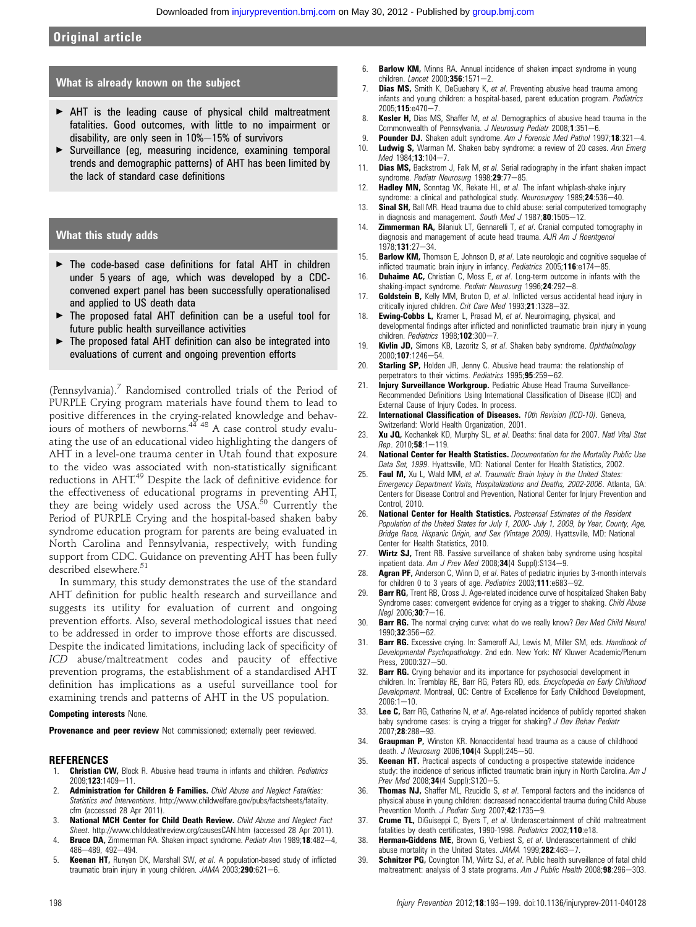# Original article

#### What is already known on the subject

- < AHT is the leading cause of physical child maltreatment fatalities. Good outcomes, with little to no impairment or disability, are only seen in  $10\% - 15\%$  of survivors
- < Surveillance (eg, measuring incidence, examining temporal trends and demographic patterns) of AHT has been limited by the lack of standard case definitions

## What this study adds

- $\triangleright$  The code-based case definitions for fatal AHT in children under 5 years of age, which was developed by a CDCconvened expert panel has been successfully operationalised and applied to US death data
- ▶ The proposed fatal AHT definition can be a useful tool for future public health surveillance activities
- < The proposed fatal AHT definition can also be integrated into evaluations of current and ongoing prevention efforts

(Pennsylvania).<sup>7</sup> Randomised controlled trials of the Period of PURPLE Crying program materials have found them to lead to positive differences in the crying-related knowledge and behaviours of mothers of newborns. $44$   $48$  A case control study evaluating the use of an educational video highlighting the dangers of AHT in a level-one trauma center in Utah found that exposure to the video was associated with non-statistically significant reductions in AHT.<sup>49</sup> Despite the lack of definitive evidence for the effectiveness of educational programs in preventing AHT, they are being widely used across the USA.<sup>50</sup> Currently the Period of PURPLE Crying and the hospital-based shaken baby syndrome education program for parents are being evaluated in North Carolina and Pennsylvania, respectively, with funding support from CDC. Guidance on preventing AHT has been fully described elsewhere.<sup>51</sup>

In summary, this study demonstrates the use of the standard AHT definition for public health research and surveillance and suggests its utility for evaluation of current and ongoing prevention efforts. Also, several methodological issues that need to be addressed in order to improve those efforts are discussed. Despite the indicated limitations, including lack of specificity of ICD abuse/maltreatment codes and paucity of effective prevention programs, the establishment of a standardised AHT definition has implications as a useful surveillance tool for examining trends and patterns of AHT in the US population.

#### Competing interests None.

Provenance and peer review Not commissioned; externally peer reviewed.

#### REFERENCES

- **Christian CW,** Block R. Abusive head trauma in infants and children. Pediatrics 2009:123:1409-11.
- Administration for Children & Families. Child Abuse and Neglect Fatalities: Statistics and Interventions. http://www.childwelfare.gov/pubs/factsheets/fatality. cfm (accessed 28 Apr 2011).
- 3. National MCH Center for Child Death Review. Child Abuse and Neglect Fact Sheet. http://www.childdeathreview.org/causesCAN.htm (accessed 28 Apr 2011).
- 4. Bruce DA, Zimmerman RA. Shaken impact syndrome. Pediatr Ann 1989;18:482-4, 486-489, 492-494.
- 5. Keenan HT, Runyan DK, Marshall SW, et al. A population-based study of inflicted traumatic brain injury in young children.  $JAMA$  2003; $290:621-6$ .
- 6. Barlow KM, Minns RA. Annual incidence of shaken impact syndrome in young children. Lancet 2000;  $356:1571-2$ .
- 7. **Dias MS,** Smith K, DeGuehery K, et al. Preventing abusive head trauma among infants and young children: a hospital-based, parent education program. Pediatrics  $2005:115:0470 - 7$
- 8. Kesler H, Dias MS, Shaffer M, et al. Demographics of abusive head trauma in the Commonwealth of Pennsylvania. J Neurosurg Pediatr 2008;1:351-6.
- 9. Pounder DJ. Shaken adult syndrome. Am  $\tilde{J}$  Forensic Med Pathol 1997;18:321-4.
- 10. Ludwig S, Warman M. Shaken baby syndrome: a review of 20 cases. Ann Emerg Med 1984;13:104-7.
- 11. **Dias MS,** Backstrom J, Falk M, et al. Serial radiography in the infant shaken impact syndrome. Pediatr Neurosurg 1998;29:77-85.
- 12. **Hadley MN,** Sonntag VK, Rekate HL, et al. The infant whiplash-shake injury syndrome: a clinical and pathological study. Neurosurgery 1989;24:536-40.
- 13. **Sinal SH,** Ball MR. Head trauma due to child abuse: serial computerized tomography in diagnosis and management. South Med  $J$  1987;80:1505-12.
- 14. **Zimmerman RA,** Bilaniuk LT, Gennarelli T, et al. Cranial computed tomography in diagnosis and management of acute head trauma. AJR Am J Roentgenol  $1978:131:27-34$
- 15. **Barlow KM,** Thomson E, Johnson D, et al. Late neurologic and cognitive sequelae of inflicted traumatic brain injury in infancy. Pediatrics  $2005;116:e174-85$ .
- 16. **Duhaime AC,** Christian C, Moss E, et al. Long-term outcome in infants with the shaking-impact syndrome. Pediatr Neurosurg 1996;24:292-8.
- 17. Goldstein B, Kelly MM, Bruton D, et al. Inflicted versus accidental head injury in critically injured children. Crit Care Med 1993:21:1328-32.
- 18. Ewing-Cobbs L, Kramer L, Prasad M, et al. Neuroimaging, physical, and developmental findings after inflicted and noninflicted traumatic brain injury in young children. Pediatrics 1998;102:300-7.
- 19. Kivlin JD, Simons KB, Lazoritz S, et al. Shaken baby syndrome. Ophthalmology 2000;107:1246-54.
- 20. **Starling SP,** Holden JR, Jenny C. Abusive head trauma: the relationship of perpetrators to their victims. Pediatrics 1995;95:259-62.
- 21. Injury Surveillance Workgroup. Pediatric Abuse Head Trauma Surveillance-Recommended Definitions Using International Classification of Disease (ICD) and External Cause of Injury Codes. In process.
- 22. International Classification of Diseases. 10th Revision (ICD-10). Geneva, Switzerland: World Health Organization, 2001.
- 23. Xu JO, Kochankek KD, Murphy SL, et al. Deaths: final data for 2007. Natl Vital Stat  $Rep. 2010;58:1-119.$
- 24. National Center for Health Statistics. Documentation for the Mortality Public Use Data Set, 1999. Hyattsville, MD: National Center for Health Statistics, 2002.
- 25. Faul M, Xu L, Wald MM, et al. Traumatic Brain Injury in the United States: Emergency Department Visits, Hospitalizations and Deaths, 2002-2006. Atlanta, GA: Centers for Disease Control and Prevention, National Center for Injury Prevention and Control, 2010.
- 26. National Center for Health Statistics. Postcensal Estimates of the Resident Population of the United States for July 1, 2000- July 1, 2009, by Year, County, Age, Bridge Race, Hispanic Origin, and Sex (Vintage 2009). Hyattsville, MD: National Center for Health Statistics, 2010.
- 27. Wirtz SJ, Trent RB. Passive surveillance of shaken baby syndrome using hospital inpatient data. Am J Prev Med 2008;34(4 Suppl):S134-9.
- 28. Agran PF, Anderson C, Winn D, et al. Rates of pediatric injuries by 3-month intervals for children 0 to 3 years of age. Pediatrics 2003;111:e683-92.
- 29. **Barr RG,** Trent RB, Cross J. Age-related incidence curve of hospitalized Shaken Baby Syndrome cases: convergent evidence for crying as a trigger to shaking. Child Abuse Neal 2006:30:7-16.
- 30. Barr RG. The normal crying curve: what do we really know? Dev Med Child Neurol 1990;32:356-62.
- 31. **Barr RG.** Excessive crying. In: Sameroff AJ, Lewis M, Miller SM, eds. Handbook of Developmental Psychopathology. 2nd edn. New York: NY Kluwer Academic/Plenum  $Pres \ 2000:327 - 50$
- 32. **Barr RG.** Crying behavior and its importance for psychosocial development in children. In: Tremblay RE, Barr RG, Peters RD, eds. Encyclopedia on Early Childhood Development. Montreal, QC: Centre of Excellence for Early Childhood Development,  $2006 \cdot 1 - 10$
- 33. Lee C, Barr RG, Catherine N, et al. Age-related incidence of publicly reported shaken baby syndrome cases: is crying a trigger for shaking? J Dev Behav Pediatr 2007:28:288-93.
- 34. Graupman P, Winston KR. Nonaccidental head trauma as a cause of childhood death. J Neurosurg 2006;104(4 Suppl): 245-50.
- 35. Keenan HT. Practical aspects of conducting a prospective statewide incidence study: the incidence of serious inflicted traumatic brain injury in North Carolina. Am J Prev Med 2008;34(4 Suppl):S120-5.
- **Thomas NJ,** Shaffer ML, Rzucidlo S, et al. Temporal factors and the incidence of physical abuse in young children: decreased nonaccidental trauma during Child Abuse Prevention Month. J Pediatr Surg 2007;42:1735-9.
- 37. Crume TL, DiGuiseppi C, Byers T, et al. Underascertainment of child maltreatment fatalities by death certificates, 1990-1998. Pediatrics 2002;110:e18.
- 38. Herman-Giddens ME, Brown G, Verbiest S, et al. Underascertainment of child abuse mortality in the United States. JAMA 1999;282:463-7.
- 39. **Schnitzer PG**, Covington TM, Wirtz SJ, et al. Public health surveillance of fatal child maltreatment: analysis of 3 state programs. Am J Public Health 2008; $98:296-303$ .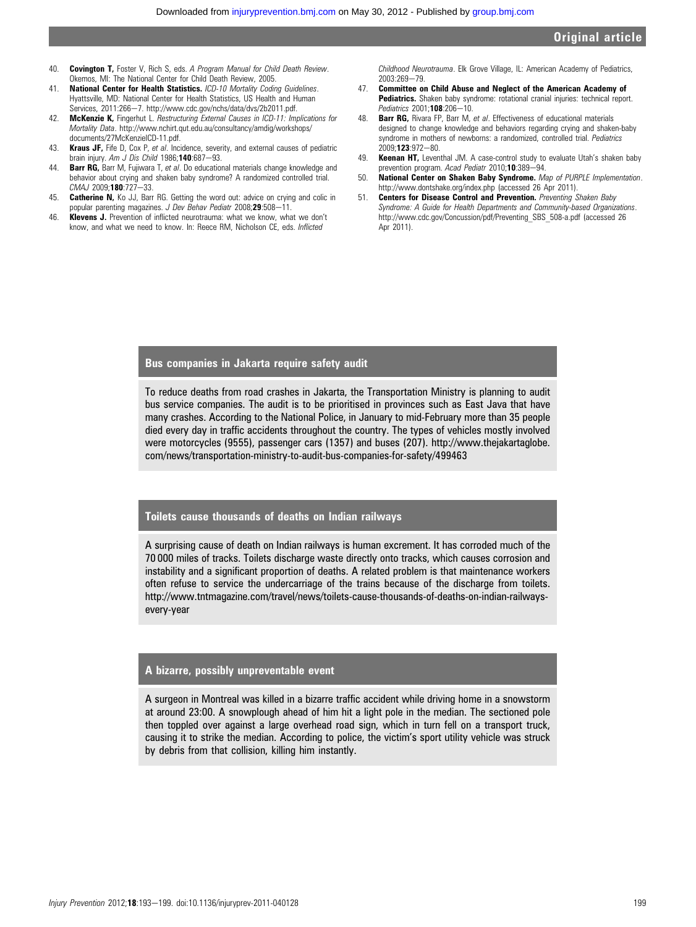- 40. **Covington T.** Foster V. Rich S. eds. A Program Manual for Child Death Review. Okemos, MI: The National Center for Child Death Review, 2005.
- 41. National Center for Health Statistics. ICD-10 Mortality Coding Guidelines. Hyattsville, MD: National Center for Health Statistics, US Health and Human Services, 2011:266-7. http://www.cdc.gov/nchs/data/dvs/2b2011.pdf.
- 42. McKenzie K, Fingerhut L. Restructuring External Causes in ICD-11: Implications for Mortality Data. http://www.nchirt.qut.edu.au/consultancy/amdig/workshops/ documents/27McKenzieICD-11.pdf.
- 43. Kraus JF, Fife D, Cox P, et al. Incidence, severity, and external causes of pediatric brain injury. Am J Dis Child 1986;140:687-93.
- 44. **Barr RG,** Barr M, Fujiwara T, et al. Do educational materials change knowledge and behavior about crying and shaken baby syndrome? A randomized controlled trial.  $CMAJ$  2009;180:727-33.
- 45. **Catherine N,** Ko JJ, Barr RG. Getting the word out: advice on crying and colic in popular parenting magazines. J Dev Behav Pediatr 2008:29:508-11.
- 46. Klevens J. Prevention of inflicted neurotrauma: what we know, what we don't know, and what we need to know. In: Reece RM, Nicholson CE, eds. Inflicted

Childhood Neurotrauma. Elk Grove Village, IL: American Academy of Pediatrics, 2003:269-79

- 47. Committee on Child Abuse and Neglect of the American Academy of Pediatrics. Shaken baby syndrome: rotational cranial injuries: technical report. Pediatrics 2001:108:206-10.
- 48. **Barr RG,** Rivara FP, Barr M, et al. Effectiveness of educational materials designed to change knowledge and behaviors regarding crying and shaken-baby syndrome in mothers of newborns: a randomized, controlled trial. Pediatrics 2009;123:972-80.
- 49. **Keenan HT,** Leventhal JM. A case-control study to evaluate Utah's shaken baby prevention program. Acad Pediatr  $2010:10:389-94$ .
- 50. National Center on Shaken Baby Syndrome. Map of PURPLE Implementation. http://www.dontshake.org/index.php (accessed 26 Apr 2011).
- 51. Centers for Disease Control and Prevention. Preventing Shaken Baby Syndrome: A Guide for Health Departments and Community-based Organizations. http://www.cdc.gov/Concussion/pdf/Preventing\_SBS\_508-a.pdf (accessed 26 Apr 2011).

# Bus companies in Jakarta require safety audit

To reduce deaths from road crashes in Jakarta, the Transportation Ministry is planning to audit bus service companies. The audit is to be prioritised in provinces such as East Java that have many crashes. According to the National Police, in January to mid-February more than 35 people died every day in traffic accidents throughout the country. The types of vehicles mostly involved were motorcycles (9555), passenger cars (1357) and buses (207). http://www.thejakartaglobe. com/news/transportation-ministry-to-audit-bus-companies-for-safety/499463

#### Toilets cause thousands of deaths on Indian railways

A surprising cause of death on Indian railways is human excrement. It has corroded much of the 70 000 miles of tracks. Toilets discharge waste directly onto tracks, which causes corrosion and instability and a significant proportion of deaths. A related problem is that maintenance workers often refuse to service the undercarriage of the trains because of the discharge from toilets. http://www.tntmagazine.com/travel/news/toilets-cause-thousands-of-deaths-on-indian-railwaysevery-year

## A bizarre, possibly unpreventable event

A surgeon in Montreal was killed in a bizarre traffic accident while driving home in a snowstorm at around 23:00. A snowplough ahead of him hit a light pole in the median. The sectioned pole then toppled over against a large overhead road sign, which in turn fell on a transport truck, causing it to strike the median. According to police, the victim's sport utility vehicle was struck by debris from that collision, killing him instantly.